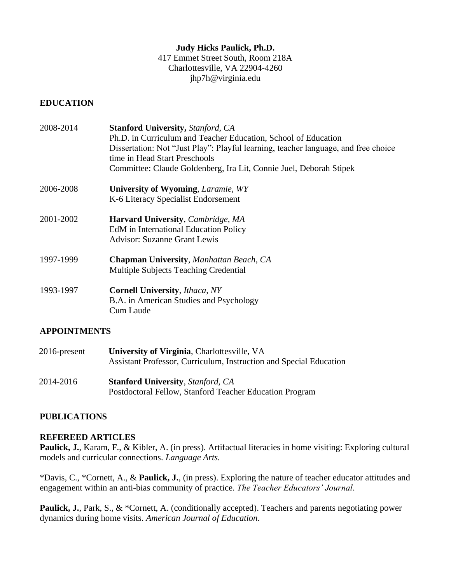# **Judy Hicks Paulick, Ph.D.**

417 Emmet Street South, Room 218A Charlottesville, VA 22904-4260 jhp7h@virginia.edu

### **EDUCATION**

| 2008-2014 | <b>Stanford University, Stanford, CA</b>                                           |
|-----------|------------------------------------------------------------------------------------|
|           | Ph.D. in Curriculum and Teacher Education, School of Education                     |
|           | Dissertation: Not "Just Play": Playful learning, teacher language, and free choice |
|           | time in Head Start Preschools                                                      |
|           | Committee: Claude Goldenberg, Ira Lit, Connie Juel, Deborah Stipek                 |
| 2006-2008 | <b>University of Wyoming, Laramie, WY</b>                                          |
|           | K-6 Literacy Specialist Endorsement                                                |
| 2001-2002 | <b>Harvard University, Cambridge, MA</b>                                           |
|           | <b>EdM</b> in International Education Policy                                       |
|           | <b>Advisor: Suzanne Grant Lewis</b>                                                |
| 1997-1999 | Chapman University, Manhattan Beach, CA                                            |
|           | <b>Multiple Subjects Teaching Credential</b>                                       |
| 1993-1997 | <b>Cornell University</b> , <i>Ithaca</i> , NY                                     |
|           | B.A. in American Studies and Psychology                                            |
|           | Cum Laude                                                                          |

# **APPOINTMENTS**

| 2016-present | University of Virginia, Charlottesville, VA                        |
|--------------|--------------------------------------------------------------------|
|              | Assistant Professor, Curriculum, Instruction and Special Education |
| 2014-2016    | <b>Stanford University, Stanford, CA</b>                           |
|              | Postdoctoral Fellow, Stanford Teacher Education Program            |

# **PUBLICATIONS**

# **REFEREED ARTICLES**

Paulick, J., Karam, F., & Kibler, A. (in press). Artifactual literacies in home visiting: Exploring cultural models and curricular connections. *Language Arts.*

\*Davis, C., \*Cornett, A., & **Paulick, J.**, (in press). Exploring the nature of teacher educator attitudes and engagement within an anti-bias community of practice. *The Teacher Educators' Journal*.

Paulick, J., Park, S., & \*Cornett, A. (conditionally accepted). Teachers and parents negotiating power dynamics during home visits. *American Journal of Education*.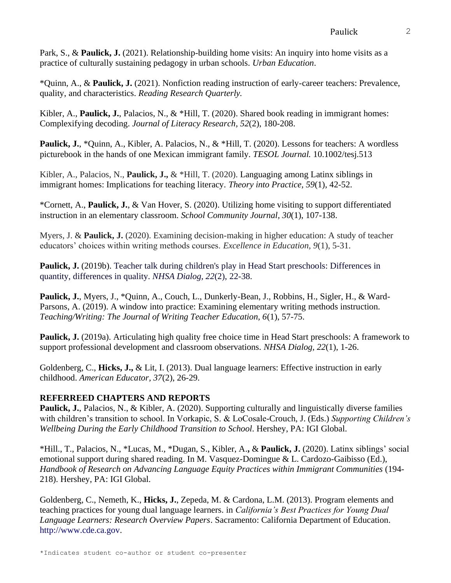Park, S., & **Paulick, J.** (2021). Relationship-building home visits: An inquiry into home visits as a practice of culturally sustaining pedagogy in urban schools. *Urban Education*.

\*Quinn, A., & **Paulick, J.** (2021). Nonfiction reading instruction of early-career teachers: Prevalence, quality, and characteristics. *Reading Research Quarterly.*

Kibler, A., **Paulick, J.**, Palacios, N., & \*Hill, T. (2020). Shared book reading in immigrant homes: Complexifying decoding. *Journal of Literacy Research, 52*(2), 180-208.

Paulick, J., \*Quinn, A., Kibler, A. Palacios, N., & \*Hill, T. (2020). Lessons for teachers: A wordless picturebook in the hands of one Mexican immigrant family. *TESOL Journal.* 10.1002/tesj.513

Kibler, A., Palacios, N., **Paulick, J.,** & \*Hill, T. (2020). Languaging among Latinx siblings in immigrant homes: Implications for teaching literacy. *Theory into Practice, 59*(1), 42-52.

\*Cornett, A., **Paulick, J.**, & Van Hover, S. (2020). Utilizing home visiting to support differentiated instruction in an elementary classroom. *School Community Journal, 30*(1), 107-138.

Myers, J. & **Paulick, J.** (2020). Examining decision-making in higher education: A study of teacher educators' choices within writing methods courses. *Excellence in Education, 9*(1), 5-31.

**Paulick, J.** (2019b). Teacher talk during children's play in Head Start preschools: Differences in quantity, differences in quality. *NHSA Dialog, 22*(2), 22-38.

**Paulick, J.**, Myers, J., \*Quinn, A., Couch, L., Dunkerly-Bean, J., Robbins, H., Sigler, H., & Ward-Parsons, A. (2019). A window into practice: Examining elementary writing methods instruction. *Teaching/Writing: The Journal of Writing Teacher Education, 6*(1), 57-75.

**Paulick, J.** (2019a). Articulating high quality free choice time in Head Start preschools: A framework to support professional development and classroom observations. *NHSA Dialog, 22*(1), 1-26.

Goldenberg, C., **Hicks, J.,** & Lit, I. (2013). Dual language learners: Effective instruction in early childhood. *American Educator, 37*(2), 26-29.

# **REFERREED CHAPTERS AND REPORTS**

**Paulick, J.**, Palacios, N., & Kibler, A. (2020). Supporting culturally and linguistically diverse families with children's transition to school. In Vorkapic, S. & LoCosale-Crouch, J. (Eds.) *Supporting Children's Wellbeing During the Early Childhood Transition to School*. Hershey, PA: IGI Global.

\*Hill., T., Palacios, N., \*Lucas, M., \*Dugan, S., Kibler, A.**,** & **Paulick, J.** (2020). Latinx siblings' social emotional support during shared reading. In M. Vasquez-Domingue & L. Cardozo-Gaibisso (Ed.), *Handbook of Research on Advancing Language Equity Practices within Immigrant Communities* (194- 218). Hershey, PA: IGI Global.

Goldenberg, C., Nemeth, K., **Hicks, J.**, Zepeda, M. & Cardona, L.M. (2013). Program elements and teaching practices for young dual language learners. in *California's Best Practices for Young Dual Language Learners: Research Overview Papers*. Sacramento: California Department of Education. [http://www.cde.ca.gov.](http://www.cde.ca.gov/)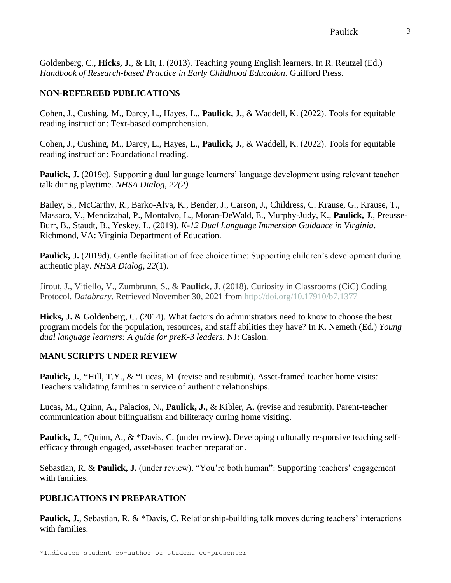Goldenberg, C., **Hicks, J.**, & Lit, I. (2013). Teaching young English learners. In R. Reutzel (Ed.) *Handbook of Research-based Practice in Early Childhood Education*. Guilford Press.

# **NON-REFEREED PUBLICATIONS**

Cohen, J., Cushing, M., Darcy, L., Hayes, L., **Paulick, J.**, & Waddell, K. (2022). Tools for equitable reading instruction: Text-based comprehension.

Cohen, J., Cushing, M., Darcy, L., Hayes, L., **Paulick, J.**, & Waddell, K. (2022). Tools for equitable reading instruction: Foundational reading.

**Paulick, J.** (2019c). Supporting dual language learners' language development using relevant teacher talk during playtime. *NHSA Dialog, 22(2).*

Bailey, S., McCarthy, R., Barko-Alva, K., Bender, J., Carson, J., Childress, C. Krause, G., Krause, T., Massaro, V., Mendizabal, P., Montalvo, L., Moran-DeWald, E., Murphy-Judy, K., **Paulick, J.**, Preusse-Burr, B., Staudt, B., Yeskey, L. (2019). *K-12 Dual Language Immersion Guidance in Virginia*. Richmond, VA: Virginia Department of Education.

**Paulick, J.** (2019d). Gentle facilitation of free choice time: Supporting children's development during authentic play. *NHSA Dialog, 22*(1).

Jirout, J., Vitiello, V., Zumbrunn, S., & **Paulick, J.** (2018). Curiosity in Classrooms (CiC) Coding Protocol. *Databrary*. Retrieved November 30, 2021 from <http://doi.org/10.17910/b7.1377>

**Hicks, J.** & Goldenberg, C. (2014). What factors do administrators need to know to choose the best program models for the population, resources, and staff abilities they have? In K. Nemeth (Ed.) *Young dual language learners: A guide for preK-3 leaders*. NJ: Caslon.

# **MANUSCRIPTS UNDER REVIEW**

**Paulick, J., \*Hill, T.Y., & \*Lucas, M. (revise and resubmit). Asset-framed teacher home visits:** Teachers validating families in service of authentic relationships.

Lucas, M., Quinn, A., Palacios, N., **Paulick, J.**, & Kibler, A. (revise and resubmit). Parent-teacher communication about bilingualism and biliteracy during home visiting.

**Paulick, J.**, \*Quinn, A., & \*Davis, C. (under review). Developing culturally responsive teaching selfefficacy through engaged, asset-based teacher preparation.

Sebastian, R. & **Paulick, J.** (under review). "You're both human": Supporting teachers' engagement with families.

# **PUBLICATIONS IN PREPARATION**

**Paulick, J.**, Sebastian, R. & \*Davis, C. Relationship-building talk moves during teachers' interactions with families.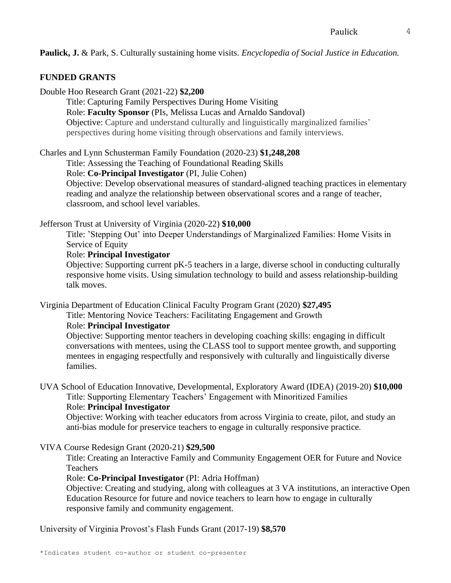**Paulick, J.** & Park, S. Culturally sustaining home visits. *Encyclopedia of Social Justice in Education.*

#### **FUNDED GRANTS**

Double Hoo Research Grant (2021-22) **\$2,200** Title: Capturing Family Perspectives During Home Visiting Role: **Faculty Sponsor** (PIs, Melissa Lucas and Arnaldo Sandoval) Objective: Capture and understand culturally and linguistically marginalized families' perspectives during home visiting through observations and family interviews.

Charles and Lynn Schusterman Family Foundation (2020-23) **\$1,248,208**

Title: Assessing the Teaching of Foundational Reading Skills

Role: **Co-Principal Investigator** (PI, Julie Cohen)

Objective: Develop observational measures of standard-aligned teaching practices in elementary reading and analyze the relationship between observational scores and a range of teacher, classroom, and school level variables.

Jefferson Trust at University of Virginia (2020-22) **\$10,000**

Title: 'Stepping Out' into Deeper Understandings of Marginalized Families: Home Visits in Service of Equity

#### Role: **Principal Investigator**

Objective: Supporting current pK-5 teachers in a large, diverse school in conducting culturally responsive home visits. Using simulation technology to build and assess relationship-building talk moves.

Virginia Department of Education Clinical Faculty Program Grant (2020) **\$27,495**

Title: Mentoring Novice Teachers: Facilitating Engagement and Growth

#### Role: **Principal Investigator**

Objective: Supporting mentor teachers in developing coaching skills: engaging in difficult conversations with mentees, using the CLASS tool to support mentee growth, and supporting mentees in engaging respectfully and responsively with culturally and linguistically diverse families.

UVA School of Education Innovative, Developmental, Exploratory Award (IDEA) (2019-20) **\$10,000** Title: Supporting Elementary Teachers' Engagement with Minoritized Families Role: **Principal Investigator** 

Objective: Working with teacher educators from across Virginia to create, pilot, and study an anti-bias module for preservice teachers to engage in culturally responsive practice.

VIVA Course Redesign Grant (2020-21) **\$29,500**

Title: Creating an Interactive Family and Community Engagement OER for Future and Novice Teachers

#### Role: **Co-Principal Investigator** (PI: Adria Hoffman)

Objective: Creating and studying, along with colleagues at 3 VA institutions, an interactive Open Education Resource for future and novice teachers to learn how to engage in culturally responsive family and community engagement.

University of Virginia Provost's Flash Funds Grant (2017-19) **\$8,570**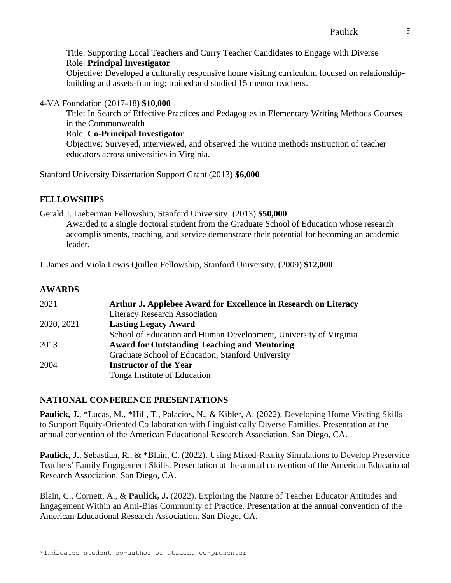Title: Supporting Local Teachers and Curry Teacher Candidates to Engage with Diverse Role: **Principal Investigator** Objective: Developed a culturally responsive home visiting curriculum focused on relationshipbuilding and assets-framing; trained and studied 15 mentor teachers.

4-VA Foundation (2017-18) **\$10,000**

Title: In Search of Effective Practices and Pedagogies in Elementary Writing Methods Courses in the Commonwealth

Role: **Co-Principal Investigator**

Objective: Surveyed, interviewed, and observed the writing methods instruction of teacher educators across universities in Virginia.

Stanford University Dissertation Support Grant (2013) **\$6,000**

# **FELLOWSHIPS**

Gerald J. Lieberman Fellowship, Stanford University. (2013) **\$50,000**

Awarded to a single doctoral student from the Graduate School of Education whose research accomplishments, teaching, and service demonstrate their potential for becoming an academic leader.

I. James and Viola Lewis Quillen Fellowship, Stanford University. (2009) **\$12,000**

# **AWARDS**

| 2021       | Arthur J. Applebee Award for Excellence in Research on Literacy   |
|------------|-------------------------------------------------------------------|
|            | <b>Literacy Research Association</b>                              |
| 2020, 2021 | <b>Lasting Legacy Award</b>                                       |
|            | School of Education and Human Development, University of Virginia |
| 2013       | <b>Award for Outstanding Teaching and Mentoring</b>               |
|            | Graduate School of Education, Stanford University                 |
| 2004       | <b>Instructor of the Year</b>                                     |
|            | Tonga Institute of Education                                      |

# **NATIONAL CONFERENCE PRESENTATIONS**

**Paulick, J.**, \*Lucas, M., \*Hill, T., Palacios, N., & Kibler, A. (2022). Developing Home Visiting Skills to Support Equity-Oriented Collaboration with Linguistically Diverse Families. Presentation at the annual convention of the American Educational Research Association. San Diego, CA.

**Paulick, J., Sebastian, R., & \*Blain, C. (2022).** Using Mixed-Reality Simulations to Develop Preservice Teachers' Family Engagement Skills. Presentation at the annual convention of the American Educational Research Association. San Diego, CA.

Blain, C., Cornett, A., & **Paulick, J.** (2022). Exploring the Nature of Teacher Educator Attitudes and Engagement Within an Anti-Bias Community of Practice. Presentation at the annual convention of the American Educational Research Association. San Diego, CA.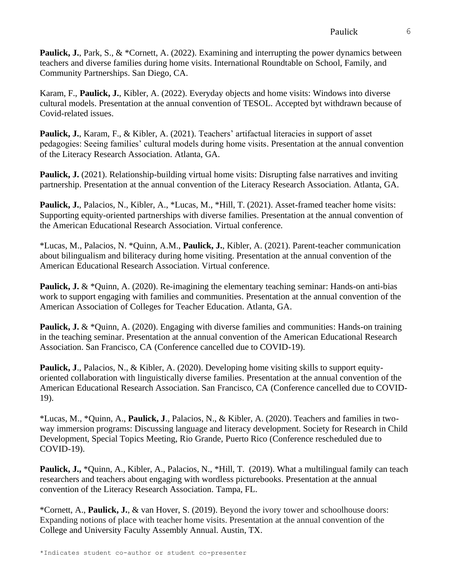**Paulick, J.,** Park, S., & \*Cornett, A. (2022). Examining and interrupting the power dynamics between teachers and diverse families during home visits. International Roundtable on School, Family, and Community Partnerships. San Diego, CA.

Karam, F., **Paulick, J.**, Kibler, A. (2022). Everyday objects and home visits: Windows into diverse cultural models. Presentation at the annual convention of TESOL. Accepted byt withdrawn because of Covid-related issues.

**Paulick, J.**, Karam, F., & Kibler, A. (2021). Teachers' artifactual literacies in support of asset pedagogies: Seeing families' cultural models during home visits. Presentation at the annual convention of the Literacy Research Association. Atlanta, GA.

**Paulick, J.** (2021). Relationship-building virtual home visits: Disrupting false narratives and inviting partnership. Presentation at the annual convention of the Literacy Research Association. Atlanta, GA.

Paulick, J., Palacios, N., Kibler, A., \*Lucas, M., \*Hill, T. (2021). Asset-framed teacher home visits: Supporting equity-oriented partnerships with diverse families. Presentation at the annual convention of the American Educational Research Association. Virtual conference.

\*Lucas, M., Palacios, N. \*Quinn, A.M., **Paulick, J.**, Kibler, A. (2021). Parent-teacher communication about bilingualism and biliteracy during home visiting. Presentation at the annual convention of the American Educational Research Association. Virtual conference.

**Paulick, J.** & \*Quinn, A. (2020). Re-imagining the elementary teaching seminar: Hands-on anti-bias work to support engaging with families and communities. Presentation at the annual convention of the American Association of Colleges for Teacher Education. Atlanta, GA.

**Paulick, J.** & \*Quinn, A. (2020). Engaging with diverse families and communities: Hands-on training in the teaching seminar. Presentation at the annual convention of the American Educational Research Association. San Francisco, CA (Conference cancelled due to COVID-19).

**Paulick, J**., Palacios, N., & Kibler, A. (2020). Developing home visiting skills to support equityoriented collaboration with linguistically diverse families. Presentation at the annual convention of the American Educational Research Association. San Francisco, CA (Conference cancelled due to COVID-19).

\*Lucas, M., \*Quinn, A., **Paulick, J**., Palacios, N., & Kibler, A. (2020). Teachers and families in twoway immersion programs: Discussing language and literacy development. Society for Research in Child Development, Special Topics Meeting, Rio Grande, Puerto Rico (Conference rescheduled due to COVID-19).

**Paulick, J.,** \*Quinn, A., Kibler, A., Palacios, N., \*Hill, T. (2019). What a multilingual family can teach researchers and teachers about engaging with wordless picturebooks. Presentation at the annual convention of the Literacy Research Association. Tampa, FL.

\*Cornett, A., **Paulick, J.**, & van Hover, S. (2019). Beyond the ivory tower and schoolhouse doors: Expanding notions of place with teacher home visits. Presentation at the annual convention of the College and University Faculty Assembly Annual. Austin, TX.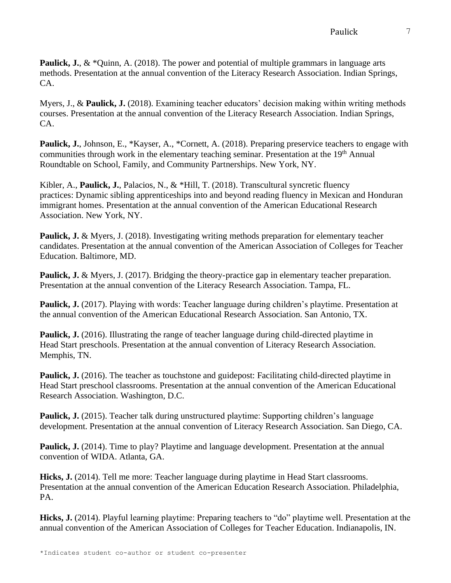**Paulick, J., & \*Quinn, A. (2018). The power and potential of multiple grammars in language arts** methods. Presentation at the annual convention of the Literacy Research Association. Indian Springs, CA.

Myers, J., & **Paulick, J.** (2018). Examining teacher educators' decision making within writing methods courses. Presentation at the annual convention of the Literacy Research Association. Indian Springs, CA.

**Paulick, J.**, Johnson, E., \*Kayser, A., \*Cornett, A. (2018). Preparing preservice teachers to engage with communities through work in the elementary teaching seminar. Presentation at the 19<sup>th</sup> Annual Roundtable on School, Family, and Community Partnerships. New York, NY.

Kibler, A., **Paulick, J.**, Palacios, N., & \*Hill, T. (2018). Transcultural syncretic fluency practices: Dynamic sibling apprenticeships into and beyond reading fluency in Mexican and Honduran immigrant homes. Presentation at the annual convention of the American Educational Research Association. New York, NY.

**Paulick, J.** & Myers, J. (2018). Investigating writing methods preparation for elementary teacher candidates. Presentation at the annual convention of the American Association of Colleges for Teacher Education. Baltimore, MD.

**Paulick, J.** & Myers, J. (2017). Bridging the theory-practice gap in elementary teacher preparation. Presentation at the annual convention of the Literacy Research Association. Tampa, FL.

**Paulick, J.** (2017). Playing with words: Teacher language during children's playtime. Presentation at the annual convention of the American Educational Research Association. San Antonio, TX.

**Paulick, J.** (2016). Illustrating the range of teacher language during child-directed playtime in Head Start preschools. Presentation at the annual convention of Literacy Research Association. Memphis, TN.

**Paulick, J.** (2016). The teacher as touchstone and guidepost: Facilitating child-directed playtime in Head Start preschool classrooms. Presentation at the annual convention of the American Educational Research Association. Washington, D.C.

**Paulick, J.** (2015). Teacher talk during unstructured playtime: Supporting children's language development. Presentation at the annual convention of Literacy Research Association. San Diego, CA.

**Paulick, J.** (2014). Time to play? Playtime and language development. Presentation at the annual convention of WIDA. Atlanta, GA.

**Hicks, J.** (2014). Tell me more: Teacher language during playtime in Head Start classrooms. Presentation at the annual convention of the American Education Research Association. Philadelphia, PA.

**Hicks, J.** (2014). Playful learning playtime: Preparing teachers to "do" playtime well. Presentation at the annual convention of the American Association of Colleges for Teacher Education. Indianapolis, IN.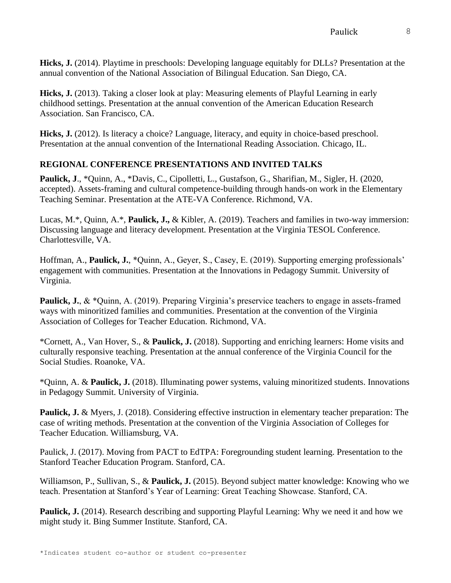**Hicks, J.** (2014). Playtime in preschools: Developing language equitably for DLLs? Presentation at the annual convention of the National Association of Bilingual Education. San Diego, CA.

**Hicks, J.** (2013). Taking a closer look at play: Measuring elements of Playful Learning in early childhood settings. Presentation at the annual convention of the American Education Research Association. San Francisco, CA.

**Hicks, J.** (2012). Is literacy a choice? Language, literacy, and equity in choice-based preschool. Presentation at the annual convention of the International Reading Association. Chicago, IL.

# **REGIONAL CONFERENCE PRESENTATIONS AND INVITED TALKS**

**Paulick, J**., \*Quinn, A., \*Davis, C., Cipolletti, L., Gustafson, G., Sharifian, M., Sigler, H. (2020, accepted). Assets-framing and cultural competence-building through hands-on work in the Elementary Teaching Seminar. Presentation at the ATE-VA Conference. Richmond, VA.

Lucas, M.\*, Quinn, A.\*, **Paulick, J.,** & Kibler, A. (2019). Teachers and families in two-way immersion: Discussing language and literacy development. Presentation at the Virginia TESOL Conference. Charlottesville, VA.

Hoffman, A., **Paulick, J.**, \*Quinn, A., Geyer, S., Casey, E. (2019). Supporting emerging professionals' engagement with communities. Presentation at the Innovations in Pedagogy Summit. University of Virginia.

**Paulick, J., & \*Quinn, A. (2019). Preparing Virginia's preservice teachers to engage in assets-framed** ways with minoritized families and communities. Presentation at the convention of the Virginia Association of Colleges for Teacher Education. Richmond, VA.

\*Cornett, A., Van Hover, S., & **Paulick, J.** (2018). Supporting and enriching learners: Home visits and culturally responsive teaching. Presentation at the annual conference of the Virginia Council for the Social Studies. Roanoke, VA.

\*Quinn, A. & **Paulick, J.** (2018). Illuminating power systems, valuing minoritized students. Innovations in Pedagogy Summit. University of Virginia.

**Paulick, J.** & Myers, J. (2018). Considering effective instruction in elementary teacher preparation: The case of writing methods. Presentation at the convention of the Virginia Association of Colleges for Teacher Education. Williamsburg, VA.

Paulick, J. (2017). Moving from PACT to EdTPA: Foregrounding student learning. Presentation to the Stanford Teacher Education Program. Stanford, CA.

Williamson, P., Sullivan, S., & **Paulick, J.** (2015). Beyond subject matter knowledge: Knowing who we teach. Presentation at Stanford's Year of Learning: Great Teaching Showcase. Stanford, CA.

**Paulick, J.** (2014). Research describing and supporting Playful Learning: Why we need it and how we might study it. Bing Summer Institute. Stanford, CA.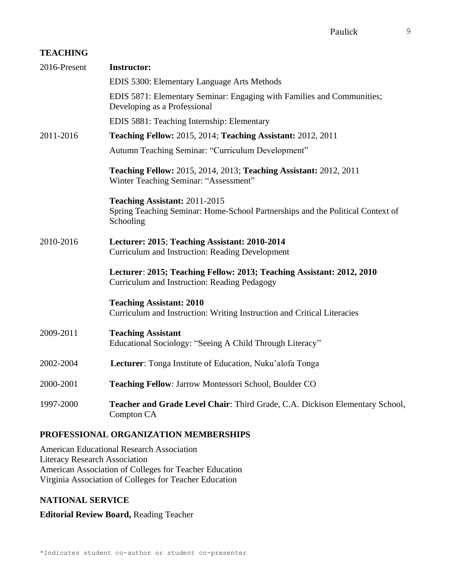#### **TEACHING**

| 2016-Present | <b>Instructor:</b>                                                                                                           |
|--------------|------------------------------------------------------------------------------------------------------------------------------|
|              | EDIS 5300: Elementary Language Arts Methods                                                                                  |
|              | EDIS 5871: Elementary Seminar: Engaging with Families and Communities;<br>Developing as a Professional                       |
|              | EDIS 5881: Teaching Internship: Elementary                                                                                   |
| 2011-2016    | Teaching Fellow: 2015, 2014; Teaching Assistant: 2012, 2011                                                                  |
|              | Autumn Teaching Seminar: "Curriculum Development"                                                                            |
|              | Teaching Fellow: 2015, 2014, 2013; Teaching Assistant: 2012, 2011<br>Winter Teaching Seminar: "Assessment"                   |
|              | Teaching Assistant: 2011-2015<br>Spring Teaching Seminar: Home-School Partnerships and the Political Context of<br>Schooling |
| 2010-2016    | Lecturer: 2015; Teaching Assistant: 2010-2014<br><b>Curriculum and Instruction: Reading Development</b>                      |
|              | Lecturer: 2015; Teaching Fellow: 2013; Teaching Assistant: 2012, 2010<br>Curriculum and Instruction: Reading Pedagogy        |
|              | <b>Teaching Assistant: 2010</b><br>Curriculum and Instruction: Writing Instruction and Critical Literacies                   |
| 2009-2011    | <b>Teaching Assistant</b><br>Educational Sociology: "Seeing A Child Through Literacy"                                        |
| 2002-2004    | Lecturer: Tonga Institute of Education, Nuku'alofa Tonga                                                                     |
| 2000-2001    | Teaching Fellow: Jarrow Montessori School, Boulder CO                                                                        |
| 1997-2000    | Teacher and Grade Level Chair: Third Grade, C.A. Dickison Elementary School,<br>Compton CA                                   |

# **PROFESSIONAL ORGANIZATION MEMBERSHIPS**

American Educational Research Association Literacy Research Association American Association of Colleges for Teacher Education Virginia Association of Colleges for Teacher Education

# **NATIONAL SERVICE**

# **Editorial Review Board,** Reading Teacher